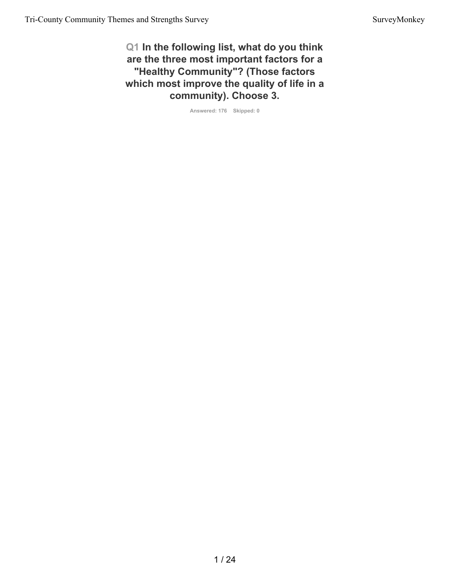**Q1 In the following list, what do you think are the three most important factors for a "Healthy Community"? (Those factors which most improve the quality of life in a community). Choose 3.**

**Answered: 176 Skipped: 0**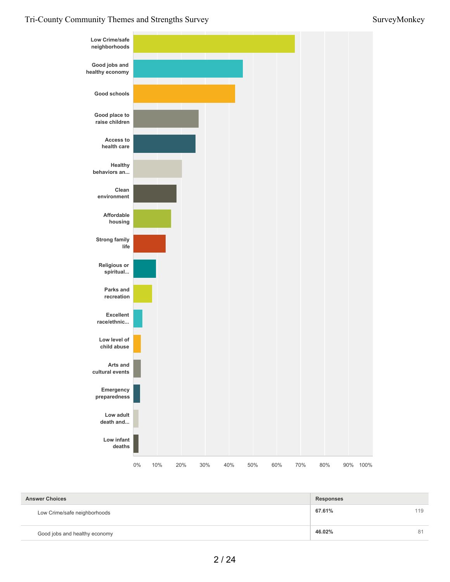

| <b>Answer Choices</b>         | <b>Responses</b> |     |
|-------------------------------|------------------|-----|
| Low Crime/safe neighborhoods  | 67.61%           | 119 |
| Good jobs and healthy economy | 46.02%           | 81  |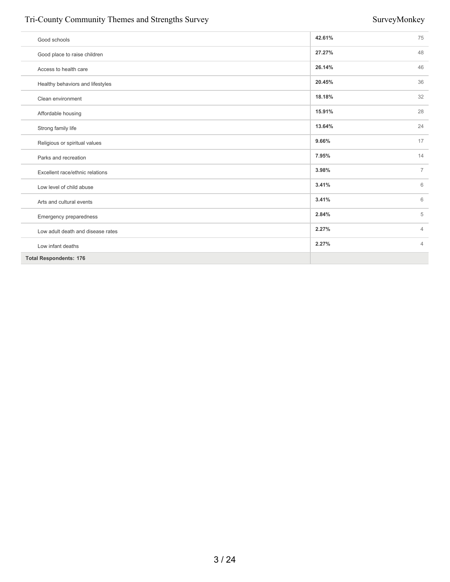#### Tri-County Community Themes and Strengths Survey Survey Survey Survey Survey Survey Survey Survey Survey Survey Survey Survey Survey Survey Survey Survey Survey Survey Survey Survey Survey Survey Survey Survey Survey Surve

| Good schools                      | 42.61% | 75             |
|-----------------------------------|--------|----------------|
| Good place to raise children      | 27.27% | 48             |
| Access to health care             | 26.14% | 46             |
| Healthy behaviors and lifestyles  | 20.45% | 36             |
| Clean environment                 | 18.18% | 32             |
| Affordable housing                | 15.91% | 28             |
| Strong family life                | 13.64% | 24             |
| Religious or spiritual values     | 9.66%  | 17             |
| Parks and recreation              | 7.95%  | 14             |
| Excellent race/ethnic relations   | 3.98%  | $\overline{7}$ |
| Low level of child abuse          | 3.41%  | 6              |
| Arts and cultural events          | 3.41%  | 6              |
| Emergency preparedness            | 2.84%  | 5              |
| Low adult death and disease rates | 2.27%  | $\overline{4}$ |
| Low infant deaths                 | 2.27%  | $\overline{4}$ |
| <b>Total Respondents: 176</b>     |        |                |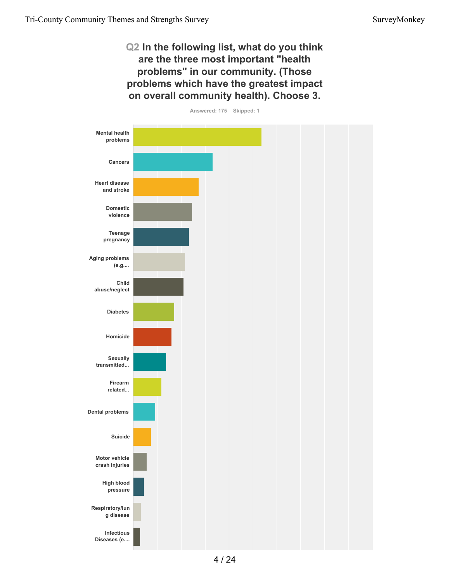#### **Q2 In the following list, what do you think are the three most important "health problems" in our community. (Those problems which have the greatest impact on overall community health). Choose 3.**

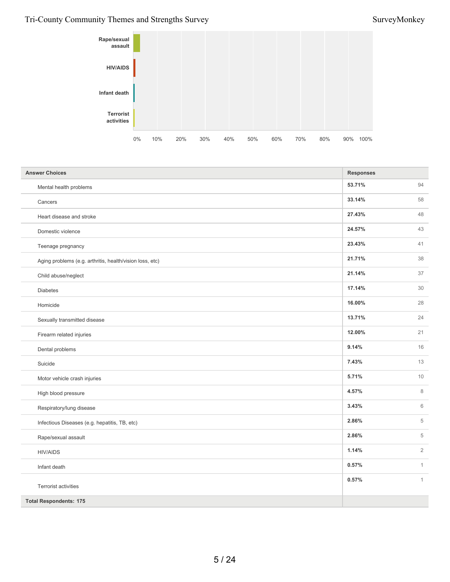### Tri-County Community Themes and Strengths Survey Survey Survey Survey Survey Survey Survey Survey Survey Survey Survey Survey Survey Survey Survey Survey Survey Survey Survey Survey Survey Survey Survey Survey Survey Surve



| <b>Answer Choices</b>                                    | <b>Responses</b> |                |
|----------------------------------------------------------|------------------|----------------|
| Mental health problems                                   | 53.71%           | 94             |
| Cancers                                                  | 33.14%           | 58             |
| Heart disease and stroke                                 | 27.43%           | 48             |
| Domestic violence                                        | 24.57%           | 43             |
| Teenage pregnancy                                        | 23.43%           | 41             |
| Aging problems (e.g. arthritis, health/vision loss, etc) | 21.71%           | 38             |
| Child abuse/neglect                                      | 21.14%           | 37             |
| <b>Diabetes</b>                                          | 17.14%           | 30             |
| Homicide                                                 | 16.00%           | 28             |
| Sexually transmitted disease                             | 13.71%           | 24             |
| Firearm related injuries                                 | 12.00%           | 21             |
| Dental problems                                          | 9.14%            | 16             |
| Suicide                                                  | 7.43%            | 13             |
| Motor vehicle crash injuries                             | 5.71%            | 10             |
| High blood pressure                                      | 4.57%            | 8              |
| Respiratory/lung disease                                 | 3.43%            | 6              |
| Infectious Diseases (e.g. hepatitis, TB, etc)            | 2.86%            | 5              |
| Rape/sexual assault                                      | 2.86%            | 5              |
| <b>HIV/AIDS</b>                                          | 1.14%            | $\overline{2}$ |
| Infant death                                             | 0.57%            | $\mathbf{1}$   |
| Terrorist activities                                     | 0.57%            | $\mathbf{1}$   |
| <b>Total Respondents: 175</b>                            |                  |                |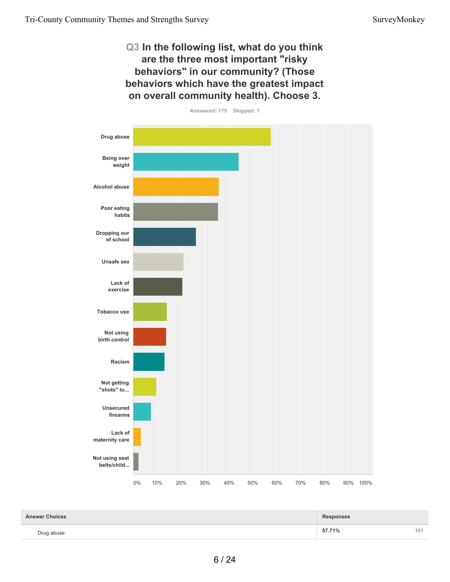#### **Q3 In the following list, what do you think are the three most important "risky behaviors" in our community? (Those behaviors which have the greatest impact on overall community health). Choose 3.**



| <b>Answer Choices</b> | <b>Responses</b> |     |
|-----------------------|------------------|-----|
| Drug abuse            | 57.71%           | 101 |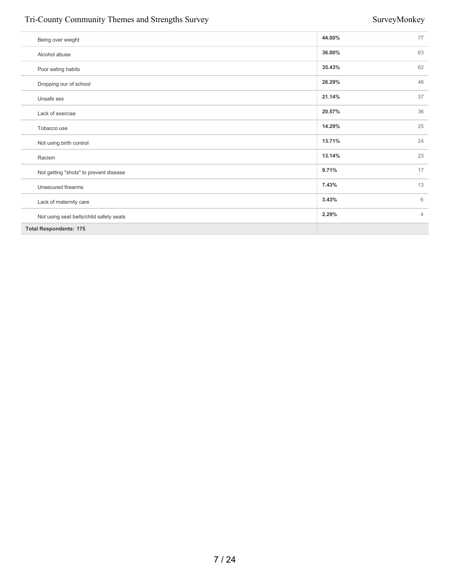#### Tri-County Community Themes and Strengths Survey Survey Survey Survey Survey Survey Survey Survey Survey Survey Survey Survey Survey Survey Survey Survey Survey Survey Survey Survey Survey Survey Survey Survey Survey Surve

| Being over weight                       | 44.00% | 77             |
|-----------------------------------------|--------|----------------|
| Alcohol abuse                           | 36.00% | 63             |
| Poor eating habits                      | 35.43% | 62             |
| Dropping our of school                  | 26.29% | 46             |
| Unsafe sex                              | 21.14% | 37             |
| Lack of exercise                        | 20.57% | 36             |
| Tobacco use                             | 14.29% | 25             |
| Not using birth control                 | 13.71% | 24             |
| Racism                                  | 13.14% | 23             |
| Not getting "shots" to prevent disease  | 9.71%  | 17             |
| Unsecured firearms                      | 7.43%  | 13             |
| Lack of maternity care                  | 3.43%  | 6              |
| Not using seat belts/child safety seats | 2.29%  | $\overline{4}$ |
| <b>Total Respondents: 175</b>           |        |                |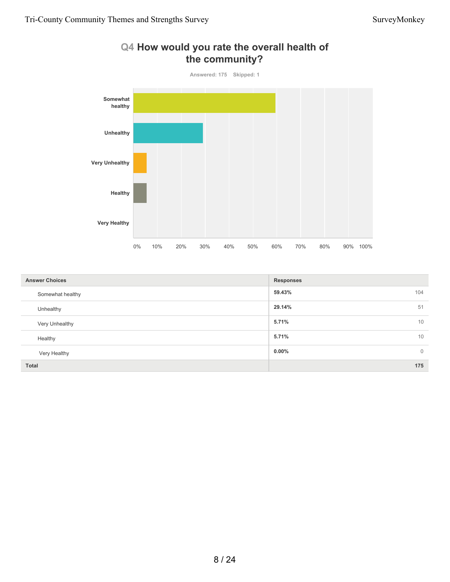

#### **59.43%** 104 **29.14%** 51 **5.71%** 10 **5.71%** 10 **0.00%** 0 **Total 175 Answer Choices Responses** Somewhat healthy Unhealthy Very Unhealthy Healthy Very Healthy

# **Q4 How would you rate the overall health of**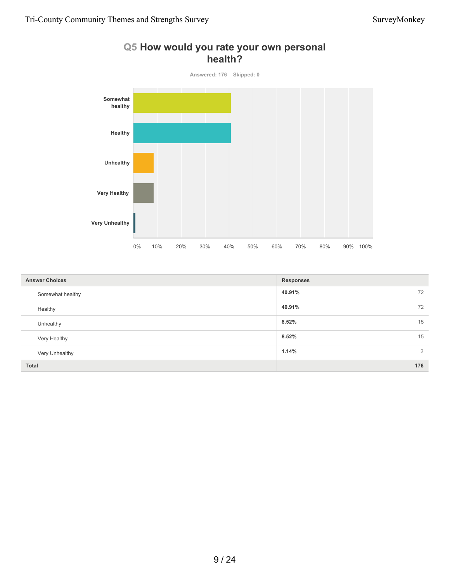

#### **Q5 How would you rate your own personal health?**

| <b>Answer Choices</b> | <b>Responses</b> |
|-----------------------|------------------|
| Somewhat healthy      | 40.91%<br>72     |
| Healthy               | 40.91%<br>72     |
| Unhealthy             | 8.52%<br>15      |
| Very Healthy          | 8.52%<br>15      |
| Very Unhealthy        | 1.14%<br>2       |
| <b>Total</b>          | 176              |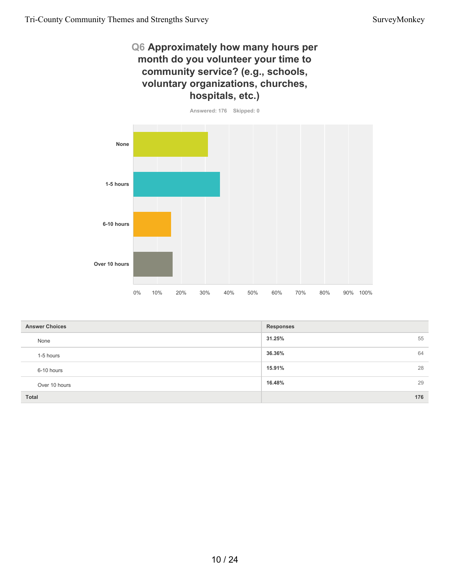#### **Q6 Approximately how many hours per month do you volunteer your time to community service? (e.g., schools, voluntary organizations, churches, hospitals, etc.)**



| <b>Answer Choices</b> | <b>Responses</b> |
|-----------------------|------------------|
| None                  | 55<br>31.25%     |
| 1-5 hours             | 36.36%<br>64     |
| 6-10 hours            | 28<br>15.91%     |
| Over 10 hours         | 16.48%<br>29     |
| Total                 | 176              |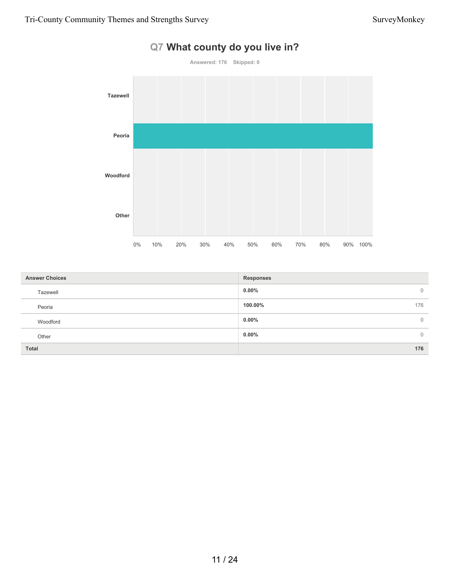

## **Q7 What county do you live in?**

| <b>Answer Choices</b> | <b>Responses</b>         |
|-----------------------|--------------------------|
| Tazewell              | $0.00\%$<br>$\mathbf{0}$ |
| Peoria                | 100.00%<br>176           |
| Woodford              | $0.00\%$<br>$\mathbf{0}$ |
| Other                 | $0.00\%$<br>$\Omega$     |
| <b>Total</b>          | 176                      |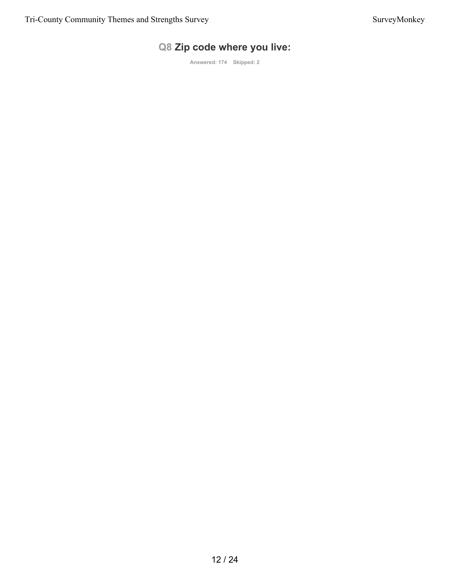### **Q8 Zip code where you live:**

**Answered: 174 Skipped: 2**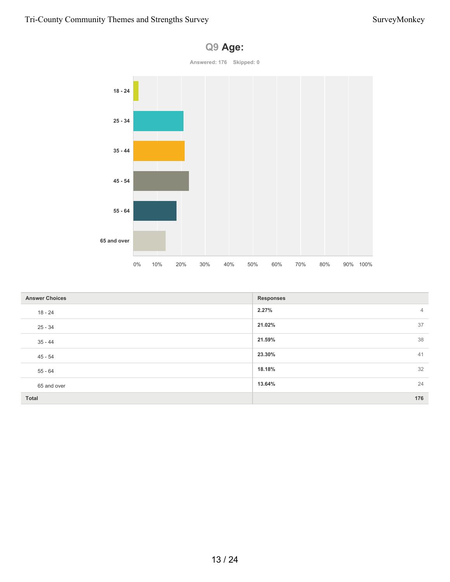

| <b>Answer Choices</b> | <b>Responses</b>        |
|-----------------------|-------------------------|
| 18 - 24               | 2.27%<br>$\overline{4}$ |
| $25 - 34$             | 37<br>21.02%            |
| $35 - 44$             | 38<br>21.59%            |
| 45 - 54               | 23.30%<br>41            |
| $55 - 64$             | 32<br>18.18%            |
| 65 and over           | 24<br>13.64%            |
| <b>Total</b>          | 176                     |

#### **Q9 Age:**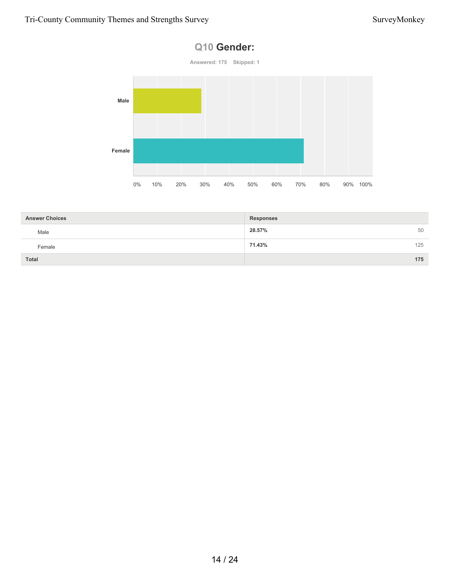#### **Q10 Gender:**



| <b>Answer Choices</b> | <b>Responses</b> |     |
|-----------------------|------------------|-----|
| Male                  | 28.57%           | 50  |
| Female                | 125<br>71.43%    |     |
| <b>Total</b>          |                  | 175 |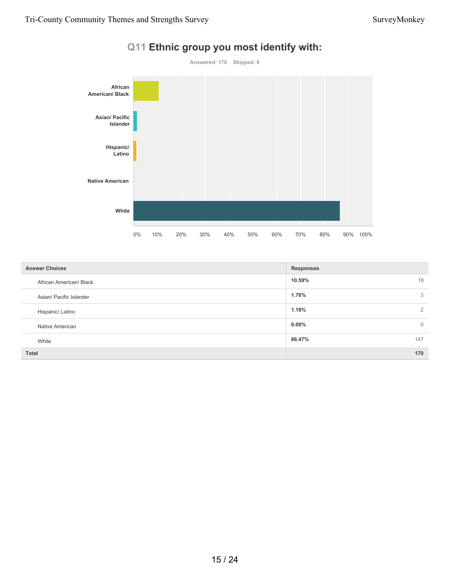

#### **Q11 Ethnic group you most identify with:**

| <b>Answer Choices</b>   | <b>Responses</b>        |
|-------------------------|-------------------------|
| African American/ Black | 10.59%<br>18            |
| Asian/ Pacific Islander | 1.76%<br>3              |
| Hispanic/ Latino        | 1.18%<br>$\overline{2}$ |
| Native American         | $0.00\%$<br>$\mathbf 0$ |
| White                   | 86.47%<br>147           |
| <b>Total</b>            | 170                     |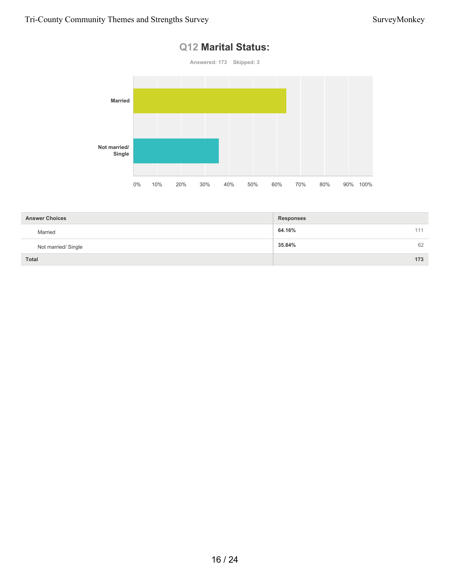#### **Q12 Marital Status:**



| <b>Answer Choices</b> | <b>Responses</b> |
|-----------------------|------------------|
| Married               | 64.16%<br>111    |
| Not married/ Single   | 35.84%<br>62     |
| <b>Total</b>          | 173              |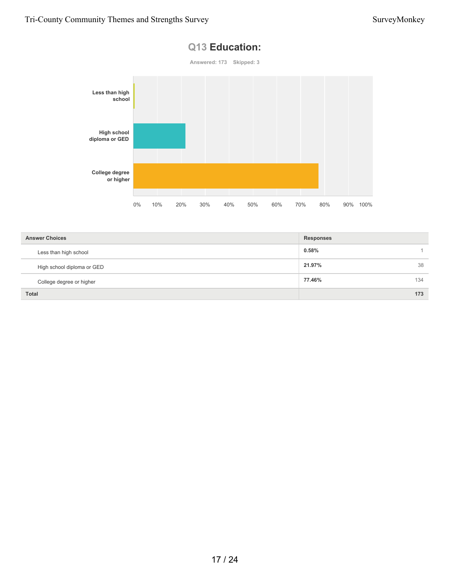

| <b>Answer Choices</b>      | <b>Responses</b> |
|----------------------------|------------------|
| Less than high school      | 0.58%            |
| High school diploma or GED | 21.97%<br>38     |
| College degree or higher   | 77.46%<br>134    |
| <b>Total</b>               | 173              |

#### **Q13 Education:**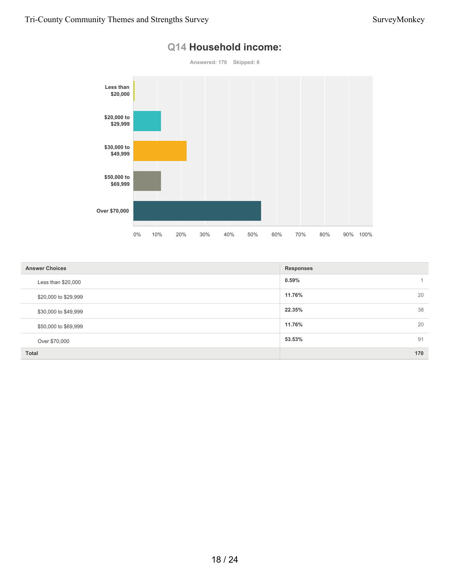

### **Q14 Household income:**

| <b>Answer Choices</b> | <b>Responses</b> |
|-----------------------|------------------|
| Less than \$20,000    | 0.59%            |
| \$20,000 to \$29,999  | 20<br>11.76%     |
| \$30,000 to \$49,999  | 38<br>22.35%     |
| \$50,000 to \$69,999  | 11.76%<br>20     |
| Over \$70,000         | 53.53%<br>91     |
| <b>Total</b>          | 170              |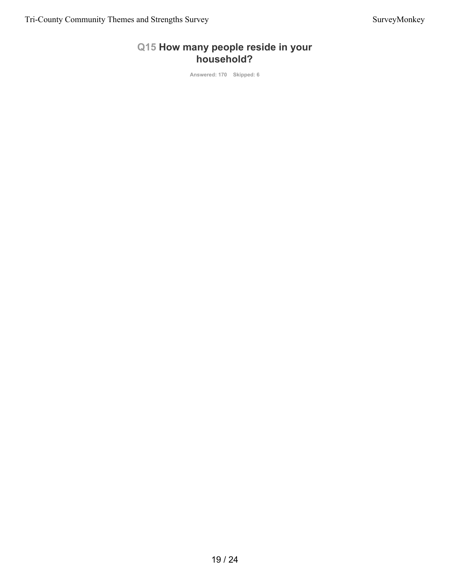#### **Q15 How many people reside in your household?**

**Answered: 170 Skipped: 6**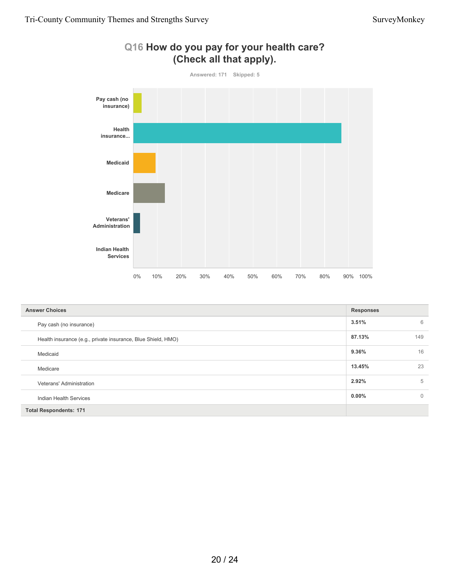

### **Q16 How do you pay for your health care? (Check all that apply).**

| <b>Answer Choices</b>                                        | <b>Responses</b> |              |
|--------------------------------------------------------------|------------------|--------------|
| Pay cash (no insurance)                                      | 3.51%            | 6            |
| Health insurance (e.g., private insurance, Blue Shield, HMO) | 87.13%           | 149          |
| Medicaid                                                     | 9.36%            | 16           |
| Medicare                                                     | 13.45%           | 23           |
| Veterans' Administration                                     | 2.92%            | 5            |
| Indian Health Services                                       | $0.00\%$         | $\mathbf{0}$ |
| <b>Total Respondents: 171</b>                                |                  |              |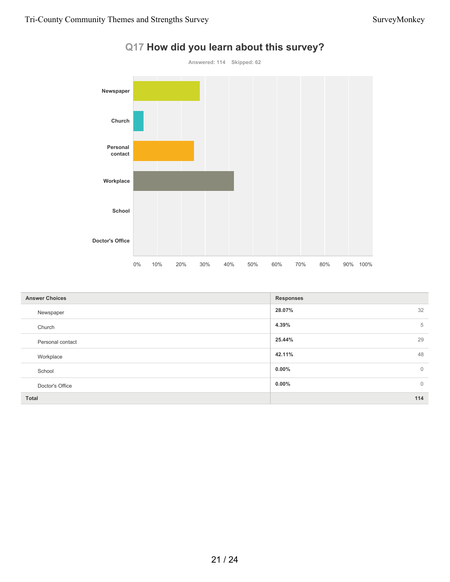

| Q17 How did you learn about this survey? |  |  |  |  |  |
|------------------------------------------|--|--|--|--|--|
|------------------------------------------|--|--|--|--|--|

| <b>Answer Choices</b> | <b>Responses</b>        |
|-----------------------|-------------------------|
| Newspaper             | 32<br>28.07%            |
| Church                | 5<br>4.39%              |
| Personal contact      | 29<br>25.44%            |
| Workplace             | 48<br>42.11%            |
| School                | $0.00\%$<br>$\mathbf 0$ |
| Doctor's Office       | $\mathbf 0$<br>$0.00\%$ |
| <b>Total</b>          | 114                     |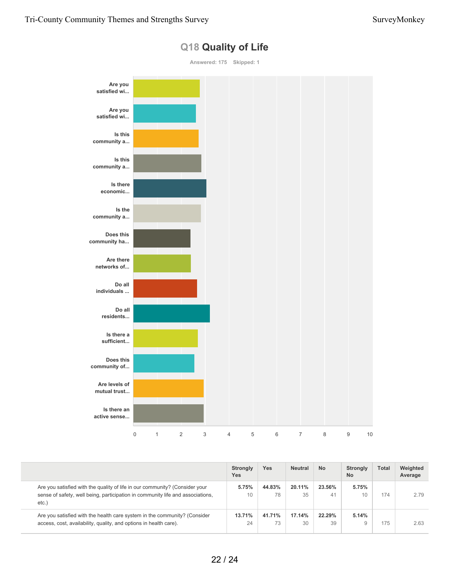

#### **Q18 Quality of Life**

|                                                                                                                                                                        | <b>Strongly</b><br><b>Yes</b> | Yes          | <b>Neutral</b> | <b>No</b>    | Strongly<br><b>No</b> | <b>Total</b> | Weighted<br>Average |
|------------------------------------------------------------------------------------------------------------------------------------------------------------------------|-------------------------------|--------------|----------------|--------------|-----------------------|--------------|---------------------|
| Are you satisfied with the quality of life in our community? (Consider your<br>sense of safety, well being, participation in community life and associations,<br>etc.) | 5.75%<br>10                   | 44.83%<br>78 | 20.11%<br>35   | 23.56%<br>41 | 5.75%<br>10           | 174          | 2.79                |
| Are you satisfied with the health care system in the community? (Consider<br>access, cost, availability, quality, and options in health care).                         | 13.71%<br>24                  | 41.71%<br>73 | 17.14%<br>30   | 22.29%<br>39 | 5.14%                 | 175          | 2.63                |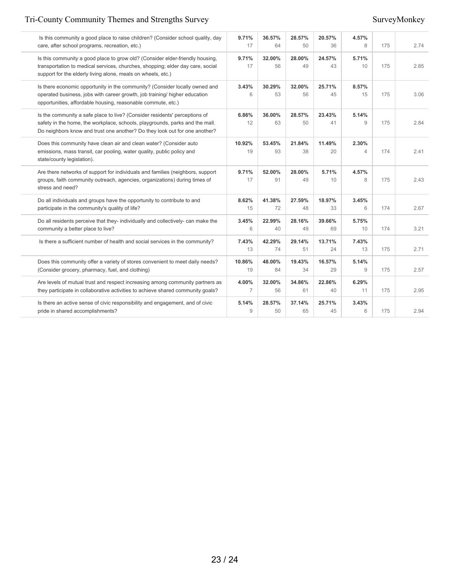#### Tri-County Community Themes and Strengths Survey Survey Survey Survey Survey Survey Survey Survey Survey Survey

| Is this community a good place to raise children? (Consider school quality, day<br>care, after school programs, recreation, etc.)                                                                                                        | 9.71%<br>17  | 36.57%<br>64 | 28.57%<br>50 | 20.57%<br>36 | 4.57%<br>8              | 175 | 2.74 |
|------------------------------------------------------------------------------------------------------------------------------------------------------------------------------------------------------------------------------------------|--------------|--------------|--------------|--------------|-------------------------|-----|------|
| Is this community a good place to grow old? (Consider elder-friendly housing,<br>transportation to medical services, churches, shopping; elder day care, social<br>support for the elderly living alone, meals on wheels, etc.)          | 9.71%<br>17  | 32.00%<br>56 | 28.00%<br>49 | 24.57%<br>43 | 5.71%<br>10             | 175 | 2.85 |
| Is there economic opportunity in the community? (Consider locally owned and<br>operated business, jobs with career growth, job training/ higher education<br>opportunities, affordable housing, reasonable commute, etc.)                | 3.43%<br>6   | 30.29%<br>53 | 32.00%<br>56 | 25.71%<br>45 | 8.57%<br>15             | 175 | 3.06 |
| Is the community a safe place to live? (Consider residents' perceptions of<br>safety in the home, the workplace, schools, playgrounds, parks and the mall.<br>Do neighbors know and trust one another? Do they look out for one another? | 6.86%<br>12  | 36.00%<br>63 | 28.57%<br>50 | 23.43%<br>41 | 5.14%<br>9              | 175 | 2.84 |
| Does this community have clean air and clean water? (Consider auto<br>emissions, mass transit, car pooling, water quality, public policy and<br>state/county legislation).                                                               | 10.92%<br>19 | 53.45%<br>93 | 21.84%<br>38 | 11.49%<br>20 | 2.30%<br>$\overline{4}$ | 174 | 2.41 |
| Are there networks of support for individuals and families (neighbors, support<br>groups, faith community outreach, agencies, organizations) during times of<br>stress and need?                                                         | 9.71%<br>17  | 52.00%<br>91 | 28.00%<br>49 | 5.71%<br>10  | 4.57%<br>8              | 175 | 2.43 |
| Do all individuals and groups have the opportunity to contribute to and<br>participate in the community's quality of life?                                                                                                               | 8.62%<br>15  | 41.38%<br>72 | 27.59%<br>48 | 18.97%<br>33 | 3.45%<br>6              | 174 | 2.67 |
| Do all residents perceive that they- individually and collectively- can make the<br>community a better place to live?                                                                                                                    | 3.45%<br>6   | 22.99%<br>40 | 28.16%<br>49 | 39.66%<br>69 | 5.75%<br>10             | 174 | 3.21 |
| Is there a sufficient number of health and social services in the community?                                                                                                                                                             | 7.43%<br>13  | 42.29%<br>74 | 29.14%<br>51 | 13.71%<br>24 | 7.43%<br>13             | 175 | 2.71 |
| Does this community offer a variety of stores convenient to meet daily needs?<br>(Consider grocery, pharmacy, fuel, and clothing)                                                                                                        | 10.86%<br>19 | 48.00%<br>84 | 19.43%<br>34 | 16.57%<br>29 | 5.14%<br>9              | 175 | 2.57 |
| Are levels of mutual trust and respect increasing among community partners as<br>they participate in collaborative activities to achieve shared community goals?                                                                         | 4.00%<br>7   | 32.00%<br>56 | 34.86%<br>61 | 22.86%<br>40 | 6.29%<br>11             | 175 | 2.95 |
| Is there an active sense of civic responsibility and engagement, and of civic<br>pride in shared accomplishments?                                                                                                                        | 5.14%<br>9   | 28.57%<br>50 | 37.14%<br>65 | 25.71%<br>45 | 3.43%<br>6              | 175 | 2.94 |